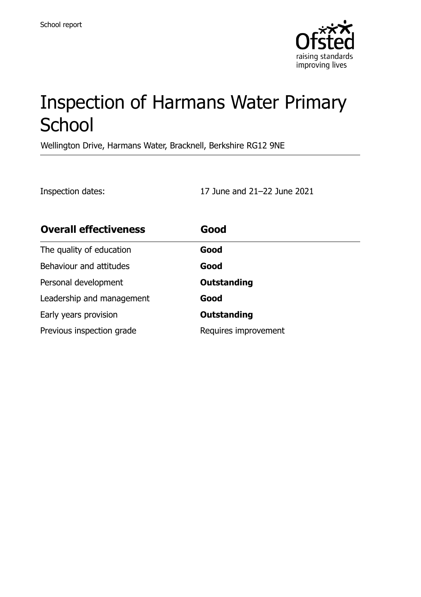

# Inspection of Harmans Water Primary **School**

Wellington Drive, Harmans Water, Bracknell, Berkshire RG12 9NE

Inspection dates: 17 June and 21–22 June 2021

| <b>Overall effectiveness</b> | Good                 |
|------------------------------|----------------------|
| The quality of education     | Good                 |
| Behaviour and attitudes      | Good                 |
| Personal development         | <b>Outstanding</b>   |
| Leadership and management    | Good                 |
| Early years provision        | <b>Outstanding</b>   |
| Previous inspection grade    | Requires improvement |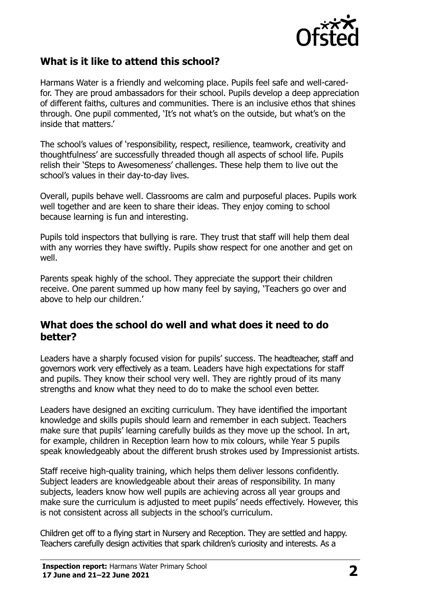

## **What is it like to attend this school?**

Harmans Water is a friendly and welcoming place. Pupils feel safe and well-caredfor. They are proud ambassadors for their school. Pupils develop a deep appreciation of different faiths, cultures and communities. There is an inclusive ethos that shines through. One pupil commented, 'It's not what's on the outside, but what's on the inside that matters.'

The school's values of 'responsibility, respect, resilience, teamwork, creativity and thoughtfulness' are successfully threaded though all aspects of school life. Pupils relish their 'Steps to Awesomeness' challenges. These help them to live out the school's values in their day-to-day lives.

Overall, pupils behave well. Classrooms are calm and purposeful places. Pupils work well together and are keen to share their ideas. They enjoy coming to school because learning is fun and interesting.

Pupils told inspectors that bullying is rare. They trust that staff will help them deal with any worries they have swiftly. Pupils show respect for one another and get on well.

Parents speak highly of the school. They appreciate the support their children receive. One parent summed up how many feel by saying, 'Teachers go over and above to help our children.'

### **What does the school do well and what does it need to do better?**

Leaders have a sharply focused vision for pupils' success. The headteacher, staff and governors work very effectively as a team. Leaders have high expectations for staff and pupils. They know their school very well. They are rightly proud of its many strengths and know what they need to do to make the school even better.

Leaders have designed an exciting curriculum. They have identified the important knowledge and skills pupils should learn and remember in each subject. Teachers make sure that pupils' learning carefully builds as they move up the school. In art, for example, children in Reception learn how to mix colours, while Year 5 pupils speak knowledgeably about the different brush strokes used by Impressionist artists.

Staff receive high-quality training, which helps them deliver lessons confidently. Subject leaders are knowledgeable about their areas of responsibility. In many subjects, leaders know how well pupils are achieving across all year groups and make sure the curriculum is adjusted to meet pupils' needs effectively. However, this is not consistent across all subjects in the school's curriculum.

Children get off to a flying start in Nursery and Reception. They are settled and happy. Teachers carefully design activities that spark children's curiosity and interests. As a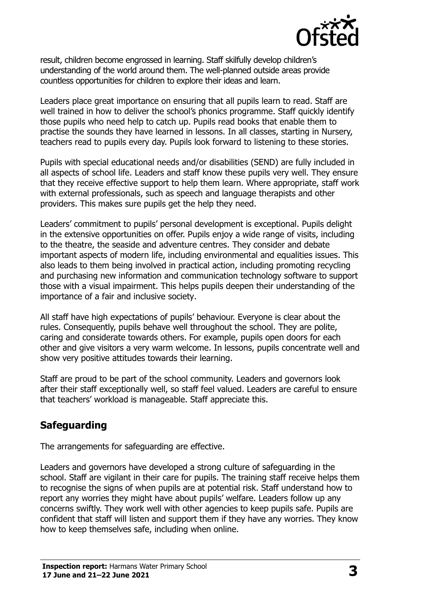

result, children become engrossed in learning. Staff skilfully develop children's understanding of the world around them. The well-planned outside areas provide countless opportunities for children to explore their ideas and learn.

Leaders place great importance on ensuring that all pupils learn to read. Staff are well trained in how to deliver the school's phonics programme. Staff quickly identify those pupils who need help to catch up. Pupils read books that enable them to practise the sounds they have learned in lessons. In all classes, starting in Nursery, teachers read to pupils every day. Pupils look forward to listening to these stories.

Pupils with special educational needs and/or disabilities (SEND) are fully included in all aspects of school life. Leaders and staff know these pupils very well. They ensure that they receive effective support to help them learn. Where appropriate, staff work with external professionals, such as speech and language therapists and other providers. This makes sure pupils get the help they need.

Leaders' commitment to pupils' personal development is exceptional. Pupils delight in the extensive opportunities on offer. Pupils enjoy a wide range of visits, including to the theatre, the seaside and adventure centres. They consider and debate important aspects of modern life, including environmental and equalities issues. This also leads to them being involved in practical action, including promoting recycling and purchasing new information and communication technology software to support those with a visual impairment. This helps pupils deepen their understanding of the importance of a fair and inclusive society.

All staff have high expectations of pupils' behaviour. Everyone is clear about the rules. Consequently, pupils behave well throughout the school. They are polite, caring and considerate towards others. For example, pupils open doors for each other and give visitors a very warm welcome. In lessons, pupils concentrate well and show very positive attitudes towards their learning.

Staff are proud to be part of the school community. Leaders and governors look after their staff exceptionally well, so staff feel valued. Leaders are careful to ensure that teachers' workload is manageable. Staff appreciate this.

## **Safeguarding**

The arrangements for safeguarding are effective.

Leaders and governors have developed a strong culture of safeguarding in the school. Staff are vigilant in their care for pupils. The training staff receive helps them to recognise the signs of when pupils are at potential risk. Staff understand how to report any worries they might have about pupils' welfare. Leaders follow up any concerns swiftly. They work well with other agencies to keep pupils safe. Pupils are confident that staff will listen and support them if they have any worries. They know how to keep themselves safe, including when online.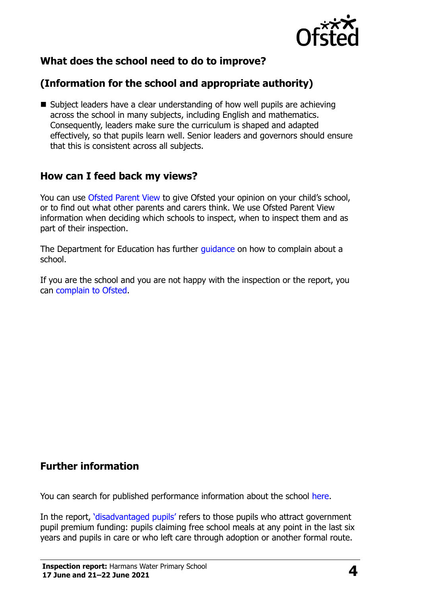

## **What does the school need to do to improve?**

# **(Information for the school and appropriate authority)**

■ Subject leaders have a clear understanding of how well pupils are achieving across the school in many subjects, including English and mathematics. Consequently, leaders make sure the curriculum is shaped and adapted effectively, so that pupils learn well. Senior leaders and governors should ensure that this is consistent across all subjects.

## **How can I feed back my views?**

You can use [Ofsted Parent View](http://parentview.ofsted.gov.uk/) to give Ofsted your opinion on your child's school, or to find out what other parents and carers think. We use Ofsted Parent View information when deciding which schools to inspect, when to inspect them and as part of their inspection.

The Department for Education has further quidance on how to complain about a school.

If you are the school and you are not happy with the inspection or the report, you can [complain to Ofsted.](http://www.gov.uk/complain-ofsted-report)

## **Further information**

You can search for published performance information about the school [here.](http://www.compare-school-performance.service.gov.uk/)

In the report, '[disadvantaged pupils](http://www.gov.uk/guidance/pupil-premium-information-for-schools-and-alternative-provision-settings)' refers to those pupils who attract government pupil premium funding: pupils claiming free school meals at any point in the last six years and pupils in care or who left care through adoption or another formal route.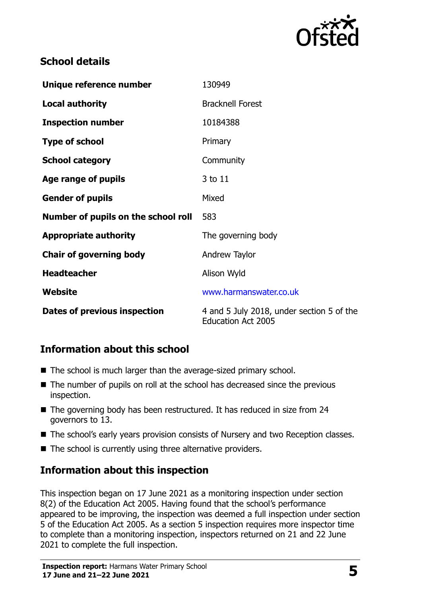

## **School details**

| Unique reference number             | 130949                                                                 |  |
|-------------------------------------|------------------------------------------------------------------------|--|
| <b>Local authority</b>              | <b>Bracknell Forest</b>                                                |  |
| <b>Inspection number</b>            | 10184388                                                               |  |
| <b>Type of school</b>               | Primary                                                                |  |
| <b>School category</b>              | Community                                                              |  |
| Age range of pupils                 | 3 to 11                                                                |  |
| <b>Gender of pupils</b>             | Mixed                                                                  |  |
| Number of pupils on the school roll | 583                                                                    |  |
| <b>Appropriate authority</b>        | The governing body                                                     |  |
| <b>Chair of governing body</b>      | Andrew Taylor                                                          |  |
| <b>Headteacher</b>                  | Alison Wyld                                                            |  |
| Website                             | www.harmanswater.co.uk                                                 |  |
| Dates of previous inspection        | 4 and 5 July 2018, under section 5 of the<br><b>Education Act 2005</b> |  |

## **Information about this school**

- The school is much larger than the average-sized primary school.
- The number of pupils on roll at the school has decreased since the previous inspection.
- The governing body has been restructured. It has reduced in size from 24 governors to 13.
- The school's early years provision consists of Nursery and two Reception classes.
- $\blacksquare$  The school is currently using three alternative providers.

## **Information about this inspection**

This inspection began on 17 June 2021 as a monitoring inspection under section 8(2) of the Education Act 2005. Having found that the school's performance appeared to be improving, the inspection was deemed a full inspection under section 5 of the Education Act 2005. As a section 5 inspection requires more inspector time to complete than a monitoring inspection, inspectors returned on 21 and 22 June 2021 to complete the full inspection.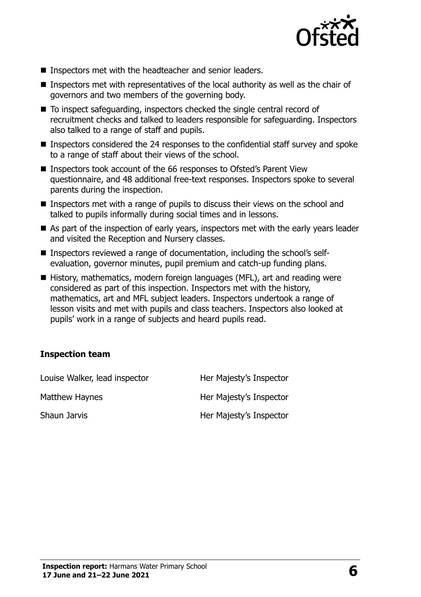

- Inspectors met with the headteacher and senior leaders.
- Inspectors met with representatives of the local authority as well as the chair of governors and two members of the governing body.
- To inspect safeguarding, inspectors checked the single central record of recruitment checks and talked to leaders responsible for safeguarding. Inspectors also talked to a range of staff and pupils.
- **Inspectors considered the 24 responses to the confidential staff survey and spoke** to a range of staff about their views of the school.
- Inspectors took account of the 66 responses to Ofsted's Parent View questionnaire, and 48 additional free-text responses. Inspectors spoke to several parents during the inspection.
- Inspectors met with a range of pupils to discuss their views on the school and talked to pupils informally during social times and in lessons.
- As part of the inspection of early years, inspectors met with the early years leader and visited the Reception and Nursery classes.
- Inspectors reviewed a range of documentation, including the school's selfevaluation, governor minutes, pupil premium and catch-up funding plans.
- History, mathematics, modern foreign languages (MFL), art and reading were considered as part of this inspection. Inspectors met with the history, mathematics, art and MFL subject leaders. Inspectors undertook a range of lesson visits and met with pupils and class teachers. Inspectors also looked at pupils' work in a range of subjects and heard pupils read.

#### **Inspection team**

| Louise Walker, lead inspector | Her Majesty's Inspector |
|-------------------------------|-------------------------|
| Matthew Haynes                | Her Majesty's Inspector |
| Shaun Jarvis                  | Her Majesty's Inspector |